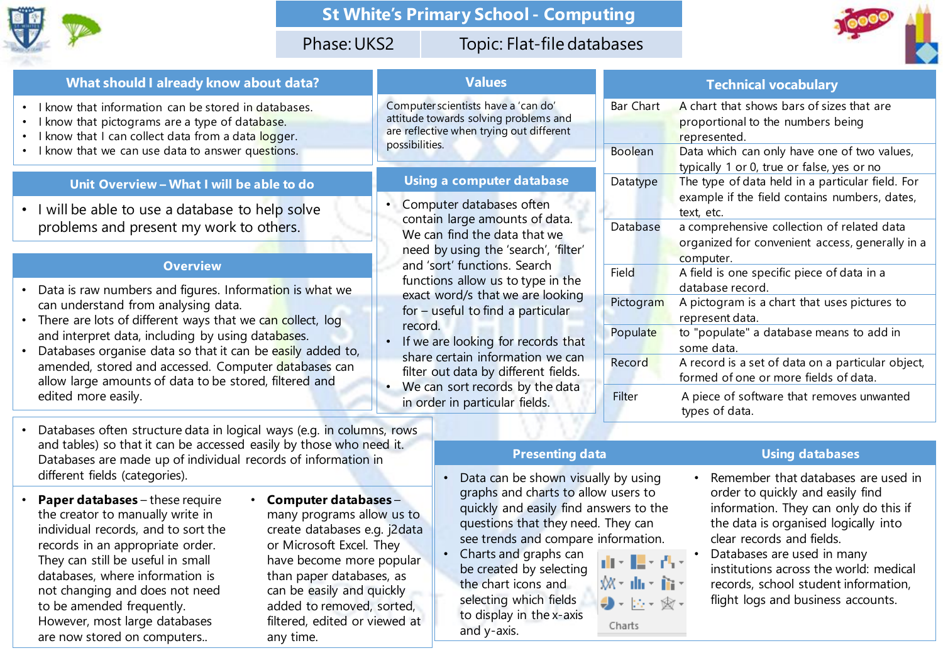

## **St White's Primary School - Computing**

## Phase: UKS2 Topic: Flat-file databases



| What should I already know about data?                                                                                                                                                                                                                   | <b>Values</b>                                                                                                                                                                                                                                                                                                                                                                                                                                                                      |              | <b>Technical vocabulary</b>                                                                                     |
|----------------------------------------------------------------------------------------------------------------------------------------------------------------------------------------------------------------------------------------------------------|------------------------------------------------------------------------------------------------------------------------------------------------------------------------------------------------------------------------------------------------------------------------------------------------------------------------------------------------------------------------------------------------------------------------------------------------------------------------------------|--------------|-----------------------------------------------------------------------------------------------------------------|
| • I know that information can be stored in databases.<br>I know that pictograms are a type of database.<br>I know that I can collect data from a data logger.                                                                                            | Computer scientists have a 'can do'<br>attitude towards solving problems and<br>are reflective when trying out different<br>possibilities.                                                                                                                                                                                                                                                                                                                                         | Bar Chart    | A chart that shows bars of sizes that are<br>proportional to the numbers being<br>represented.                  |
| I know that we can use data to answer questions.                                                                                                                                                                                                         |                                                                                                                                                                                                                                                                                                                                                                                                                                                                                    | Boolean      | Data which can only have one of two values,<br>typically 1 or 0, true or false, yes or no                       |
| Unit Overview - What I will be able to do                                                                                                                                                                                                                | <b>Using a computer database</b>                                                                                                                                                                                                                                                                                                                                                                                                                                                   | Datatype     | The type of data held in a particular field. For<br>example if the field contains numbers, dates,<br>text, etc. |
| • I will be able to use a database to help solve<br>problems and present my work to others.                                                                                                                                                              | Computer databases often<br>contain large amounts of data.<br>We can find the data that we<br>need by using the 'search', 'filter'<br>and 'sort' functions. Search<br>functions allow us to type in the<br>exact word/s that we are looking<br>for - useful to find a particular<br>record.<br>If we are looking for records that<br>share certain information we can<br>filter out data by different fields.<br>We can sort records by the data<br>in order in particular fields. |              |                                                                                                                 |
|                                                                                                                                                                                                                                                          |                                                                                                                                                                                                                                                                                                                                                                                                                                                                                    | Database     | a comprehensive collection of related data<br>organized for convenient access, generally in a<br>computer.      |
| <b>Overview</b><br>Data is raw numbers and figures. Information is what we                                                                                                                                                                               |                                                                                                                                                                                                                                                                                                                                                                                                                                                                                    | <b>Field</b> | A field is one specific piece of data in a<br>database record.                                                  |
| can understand from analysing data.<br>There are lots of different ways that we can collect, log                                                                                                                                                         |                                                                                                                                                                                                                                                                                                                                                                                                                                                                                    | Pictogram    | A pictogram is a chart that uses pictures to<br>represent data.                                                 |
| and interpret data, including by using databases.<br>Databases organise data so that it can be easily added to,<br>amended, stored and accessed. Computer databases can<br>allow large amounts of data to be stored, filtered and<br>edited more easily. |                                                                                                                                                                                                                                                                                                                                                                                                                                                                                    | Populate     | to "populate" a database means to add in<br>some data.                                                          |
|                                                                                                                                                                                                                                                          |                                                                                                                                                                                                                                                                                                                                                                                                                                                                                    | Record       | A record is a set of data on a particular object,<br>formed of one or more fields of data.                      |
|                                                                                                                                                                                                                                                          |                                                                                                                                                                                                                                                                                                                                                                                                                                                                                    | Filter       | A piece of software that removes unwanted<br>types of data.                                                     |

- Databases often structure data in logical ways (e.g. in columns, rows and tables) so that it can be accessed easily by those who need it. Databases are made up of individual records of information in different fields (categories).
- **Paper databases**  these require the creator to manually write in individual records, and to sort the records in an appropriate order. They can still be useful in small databases, where information is not changing and does not need to be amended frequently. However, most large databases are now stored on computers..

• **Computer databases** – many programs allow us to create databases e.g. j2data or Microsoft Excel. They have become more popular than paper databases, as can be easily and quickly added to removed, sorted, filtered, edited or viewed at any time.

• Data can be shown visually by using graphs and charts to allow users to quickly and easily find answers to the questions that they need. They can see trends and compare information.

A.

Charts

• Charts and graphs can ⊪' ∎' be created by selecting the chart icons and Wardhar fira selecting which fields  $\bigoplus -\left\| \cdot \right\|_{2}=\bigotimes$ to display in the x-axis and y-axis.

#### **Presenting data Using databases**

- Remember that databases are used in order to quickly and easily find information. They can only do this if the data is organised logically into clear records and fields.
- Databases are used in many institutions across the world: medical records, school student information, flight logs and business accounts.